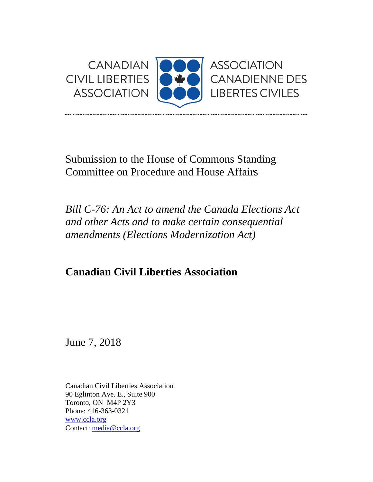

Submission to the House of Commons Standing Committee on Procedure and House Affairs

*Bill C-76: An Act to amend the Canada Elections Act and other Acts and to make certain consequential amendments (Elections Modernization Act)*

**Canadian Civil Liberties Association**

June 7, 2018

Canadian Civil Liberties Association 90 Eglinton Ave. E., Suite 900 Toronto, ON M4P 2Y3 Phone: 416-363-0321 [www.ccla.org](http://www.ccla.org/) Contact: [media@ccla.org](mailto:media@ccla.org)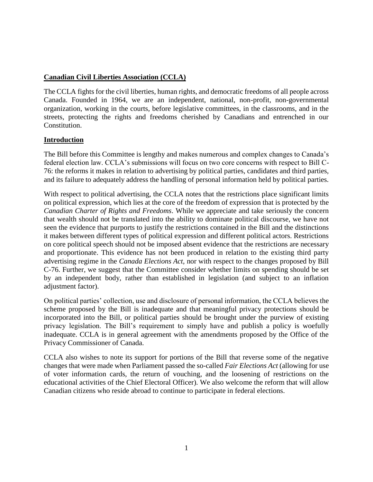# **Canadian Civil Liberties Association (CCLA)**

The CCLA fights for the civil liberties, human rights, and democratic freedoms of all people across Canada. Founded in 1964, we are an independent, national, non-profit, non-governmental organization, working in the courts, before legislative committees, in the classrooms, and in the streets, protecting the rights and freedoms cherished by Canadians and entrenched in our Constitution.

# **Introduction**

The Bill before this Committee is lengthy and makes numerous and complex changes to Canada's federal election law. CCLA's submissions will focus on two core concerns with respect to Bill C-76: the reforms it makes in relation to advertising by political parties, candidates and third parties, and its failure to adequately address the handling of personal information held by political parties.

With respect to political advertising, the CCLA notes that the restrictions place significant limits on political expression, which lies at the core of the freedom of expression that is protected by the *Canadian Charter of Rights and Freedoms*. While we appreciate and take seriously the concern that wealth should not be translated into the ability to dominate political discourse, we have not seen the evidence that purports to justify the restrictions contained in the Bill and the distinctions it makes between different types of political expression and different political actors. Restrictions on core political speech should not be imposed absent evidence that the restrictions are necessary and proportionate. This evidence has not been produced in relation to the existing third party advertising regime in the *Canada Elections Act,* nor with respect to the changes proposed by Bill C-76. Further, we suggest that the Committee consider whether limits on spending should be set by an independent body, rather than established in legislation (and subject to an inflation adjustment factor).

On political parties' collection, use and disclosure of personal information, the CCLA believes the scheme proposed by the Bill is inadequate and that meaningful privacy protections should be incorporated into the Bill, or political parties should be brought under the purview of existing privacy legislation. The Bill's requirement to simply have and publish a policy is woefully inadequate. CCLA is in general agreement with the amendments proposed by the Office of the Privacy Commissioner of Canada.

CCLA also wishes to note its support for portions of the Bill that reverse some of the negative changes that were made when Parliament passed the so-called *Fair Elections Act* (allowing for use of voter information cards, the return of vouching*,* and the loosening of restrictions on the educational activities of the Chief Electoral Officer). We also welcome the reform that will allow Canadian citizens who reside abroad to continue to participate in federal elections.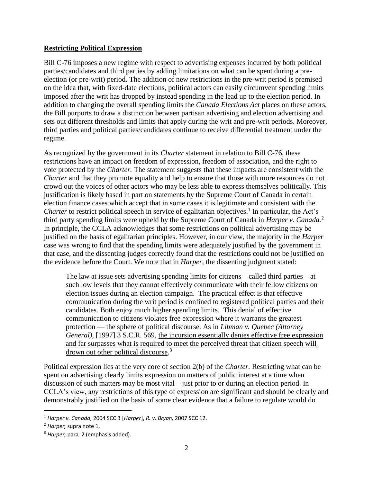# **Restricting Political Expression**

Bill C-76 imposes a new regime with respect to advertising expenses incurred by both political parties/candidates and third parties by adding limitations on what can be spent during a preelection (or pre-writ) period. The addition of new restrictions in the pre-writ period is premised on the idea that, with fixed-date elections, political actors can easily circumvent spending limits imposed after the writ has dropped by instead spending in the lead up to the election period. In addition to changing the overall spending limits the *Canada Elections Act* places on these actors, the Bill purports to draw a distinction between partisan advertising and election advertising and sets out different thresholds and limits that apply during the writ and pre-writ periods. Moreover, third parties and political parties/candidates continue to receive differential treatment under the regime.

As recognized by the government in its *Charter* statement in relation to Bill C-76, these restrictions have an impact on freedom of expression, freedom of association, and the right to vote protected by the *Charter.* The statement suggests that these impacts are consistent with the *Charter* and that they promote equality and help to ensure that those with more resources do not crowd out the voices of other actors who may be less able to express themselves politically. This justification is likely based in part on statements by the Supreme Court of Canada in certain election finance cases which accept that in some cases it is legitimate and consistent with the Charter to restrict political speech in service of egalitarian objectives.<sup>1</sup> In particular, the Act's third party spending limits were upheld by the Supreme Court of Canada in *Harper v. Canada.*<sup>2</sup> In principle, the CCLA acknowledges that some restrictions on political advertising may be justified on the basis of egalitarian principles. However, in our view, the majority in the *Harper*  case was wrong to find that the spending limits were adequately justified by the government in that case, and the dissenting judges correctly found that the restrictions could not be justified on the evidence before the Court. We note that in *Harper,* the dissenting judgment stated:

The law at issue sets advertising spending limits for citizens – called third parties – at such low levels that they cannot effectively communicate with their fellow citizens on election issues during an election campaign. The practical effect is that effective communication during the writ period is confined to registered political parties and their candidates. Both enjoy much higher spending limits. This denial of effective communication to citizens violates free expression where it warrants the greatest protection — the sphere of political discourse. As in *Libman v. Quebec (Attorney General)*, [1997] 3 S.C.R. 569, the incursion essentially denies effective free expression and far surpasses what is required to meet the perceived threat that citizen speech will drown out other political discourse.<sup>3</sup>

Political expression lies at the very core of section 2(b) of the *Charter.* Restricting what can be spent on advertising clearly limits expression on matters of public interest at a time when discussion of such matters may be most vital – just prior to or during an election period. In CCLA's view, a*ny* restrictions of this type of expression are significant and should be clearly and demonstrably justified on the basis of some clear evidence that a failure to regulate would do

 $\overline{a}$ 

<sup>1</sup> *Harper v. Canada,* 2004 SCC 3 [*Harper*], *R. v. Bryan,* 2007 SCC 12.

<sup>2</sup> *Harper,* supra note 1.

<sup>3</sup> *Harper,* para. 2 (emphasis added).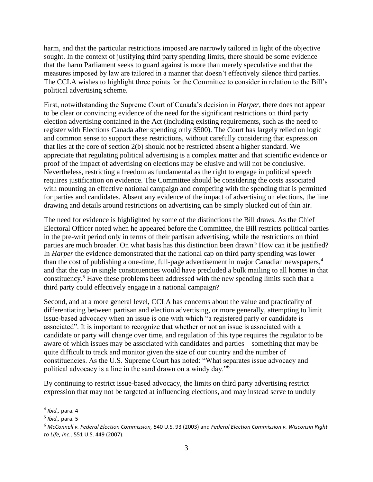harm, and that the particular restrictions imposed are narrowly tailored in light of the objective sought. In the context of justifying third party spending limits, there should be some evidence that the harm Parliament seeks to guard against is more than merely speculative and that the measures imposed by law are tailored in a manner that doesn't effectively silence third parties. The CCLA wishes to highlight three points for the Committee to consider in relation to the Bill's political advertising scheme.

First, notwithstanding the Supreme Court of Canada's decision in *Harper,* there does not appear to be clear or convincing evidence of the need for the significant restrictions on third party election advertising contained in the Act (including existing requirements, such as the need to register with Elections Canada after spending only \$500). The Court has largely relied on logic and common sense to support these restrictions, without carefully considering that expression that lies at the core of section 2(b) should not be restricted absent a higher standard. We appreciate that regulating political advertising is a complex matter and that scientific evidence or proof of the impact of advertising on elections may be elusive and will not be conclusive. Nevertheless, restricting a freedom as fundamental as the right to engage in political speech requires justification on evidence. The Committee should be considering the costs associated with mounting an effective national campaign and competing with the spending that is permitted for parties and candidates. Absent any evidence of the impact of advertising on elections, the line drawing and details around restrictions on advertising can be simply plucked out of thin air.

The need for evidence is highlighted by some of the distinctions the Bill draws. As the Chief Electoral Officer noted when he appeared before the Committee, the Bill restricts political parties in the pre-writ period only in terms of their partisan advertising, while the restrictions on third parties are much broader. On what basis has this distinction been drawn? How can it be justified? In *Harper* the evidence demonstrated that the national cap on third party spending was lower than the cost of publishing a one-time, full-page advertisement in major Canadian newspapers,<sup>4</sup> and that the cap in single constituencies would have precluded a bulk mailing to all homes in that constituency.<sup>5</sup> Have these problems been addressed with the new spending limits such that a third party could effectively engage in a national campaign?

Second, and at a more general level, CCLA has concerns about the value and practicality of differentiating between partisan and election advertising, or more generally, attempting to limit issue-based advocacy when an issue is one with which "a registered party or candidate is associated". It is important to recognize that whether or not an issue is associated with a candidate or party will change over time, and regulation of this type requires the regulator to be aware of which issues may be associated with candidates and parties – something that may be quite difficult to track and monitor given the size of our country and the number of constituencies. As the U.S. Supreme Court has noted: "What separates issue advocacy and political advocacy is a line in the sand drawn on a windy day."<sup>6</sup>

By continuing to restrict issue-based advocacy, the limits on third party advertising restrict expression that may not be targeted at influencing elections, and may instead serve to unduly

 $\overline{\phantom{a}}$ 

<sup>4</sup> *Ibid.,* para. 4

<sup>5</sup> *Ibid.,* para. 5

<sup>6</sup> *McConnell v. Federal Election Commission,* 540 U.S. 93 (2003) and *Federal Election Commission v. Wisconsin Right to Life, Inc.,* 551 U.S. 449 (2007).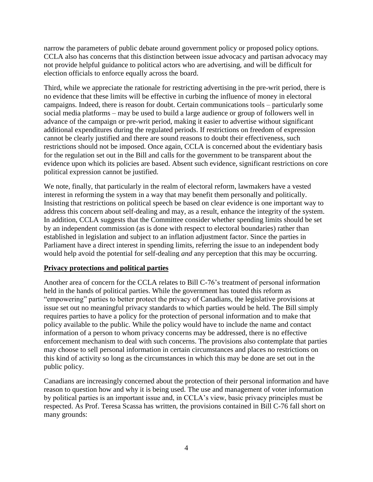narrow the parameters of public debate around government policy or proposed policy options. CCLA also has concerns that this distinction between issue advocacy and partisan advocacy may not provide helpful guidance to political actors who are advertising, and will be difficult for election officials to enforce equally across the board.

Third, while we appreciate the rationale for restricting advertising in the pre-writ period, there is no evidence that these limits will be effective in curbing the influence of money in electoral campaigns. Indeed, there is reason for doubt. Certain communications tools – particularly some social media platforms – may be used to build a large audience or group of followers well in advance of the campaign or pre-writ period, making it easier to advertise without significant additional expenditures during the regulated periods. If restrictions on freedom of expression cannot be clearly justified and there are sound reasons to doubt their effectiveness, such restrictions should not be imposed. Once again, CCLA is concerned about the evidentiary basis for the regulation set out in the Bill and calls for the government to be transparent about the evidence upon which its policies are based. Absent such evidence, significant restrictions on core political expression cannot be justified.

We note, finally, that particularly in the realm of electoral reform, lawmakers have a vested interest in reforming the system in a way that may benefit them personally and politically. Insisting that restrictions on political speech be based on clear evidence is one important way to address this concern about self-dealing and may, as a result, enhance the integrity of the system. In addition, CCLA suggests that the Committee consider whether spending limits should be set by an independent commission (as is done with respect to electoral boundaries) rather than established in legislation and subject to an inflation adjustment factor. Since the parties in Parliament have a direct interest in spending limits, referring the issue to an independent body would help avoid the potential for self-dealing *and* any perception that this may be occurring.

### **Privacy protections and political parties**

Another area of concern for the CCLA relates to Bill C-76's treatment of personal information held in the hands of political parties. While the government has touted this reform as "empowering" parties to better protect the privacy of Canadians, the legislative provisions at issue set out no meaningful privacy standards to which parties would be held. The Bill simply requires parties to have a policy for the protection of personal information and to make that policy available to the public. While the policy would have to include the name and contact information of a person to whom privacy concerns may be addressed, there is no effective enforcement mechanism to deal with such concerns. The provisions also contemplate that parties may choose to sell personal information in certain circumstances and places no restrictions on this kind of activity so long as the circumstances in which this may be done are set out in the public policy.

Canadians are increasingly concerned about the protection of their personal information and have reason to question how and why it is being used. The use and management of voter information by political parties is an important issue and, in CCLA's view, basic privacy principles must be respected. As Prof. Teresa Scassa has written, the provisions contained in Bill C-76 fall short on many grounds: